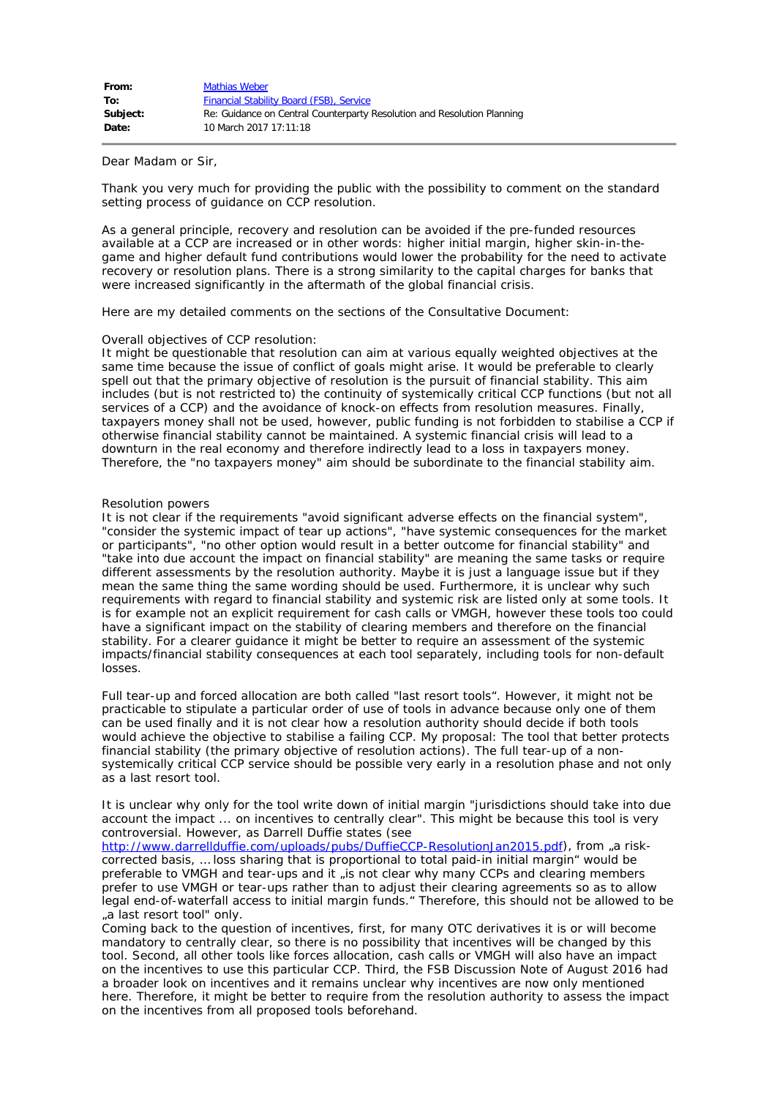| From:    | <b>Mathias Weber</b>                                                    |
|----------|-------------------------------------------------------------------------|
| To:      | <b>Financial Stability Board (FSB), Service</b>                         |
| Subject: | Re: Guidance on Central Counterparty Resolution and Resolution Planning |
| Date:    | 10 March 2017 17:11:18                                                  |

Dear Madam or Sir,

Thank you very much for providing the public with the possibility to comment on the standard setting process of guidance on CCP resolution.

As a general principle, recovery and resolution can be avoided if the pre-funded resources available at a CCP are increased or in other words: higher initial margin, higher skin-in-thegame and higher default fund contributions would lower the probability for the need to activate recovery or resolution plans. There is a strong similarity to the capital charges for banks that were increased significantly in the aftermath of the global financial crisis.

Here are my detailed comments on the sections of the Consultative Document:

# Overall objectives of CCP resolution:

It might be questionable that resolution can aim at various equally weighted objectives at the same time because the issue of conflict of goals might arise. It would be preferable to clearly spell out that the primary objective of resolution is the pursuit of financial stability. This aim includes (but is not restricted to) the continuity of systemically critical CCP functions (but not all services of a CCP) and the avoidance of knock-on effects from resolution measures. Finally, taxpayers money shall not be used, however, public funding is not forbidden to stabilise a CCP if otherwise financial stability cannot be maintained. A systemic financial crisis will lead to a downturn in the real economy and therefore indirectly lead to a loss in taxpayers money. Therefore, the "no taxpayers money" aim should be subordinate to the financial stability aim.

# Resolution powers

It is not clear if the requirements "avoid significant adverse effects on the financial system", "consider the systemic impact of tear up actions", "have systemic consequences for the market or participants", "no other option would result in a better outcome for financial stability" and "take into due account the impact on financial stability" are meaning the same tasks or require different assessments by the resolution authority. Maybe it is just a language issue but if they mean the same thing the same wording should be used. Furthermore, it is unclear why such requirements with regard to financial stability and systemic risk are listed only at some tools. It is for example not an explicit requirement for cash calls or VMGH, however these tools too could have a significant impact on the stability of clearing members and therefore on the financial stability. For a clearer guidance it might be better to require an assessment of the systemic impacts/financial stability consequences at each tool separately, including tools for non-default losses.

Full tear-up and forced allocation are both called "last resort tools". However, it might not be practicable to stipulate a particular order of use of tools in advance because only one of them can be used finally and it is not clear how a resolution authority should decide if both tools would achieve the objective to stabilise a failing CCP. My proposal: The tool that better protects financial stability (the primary objective of resolution actions). The full tear-up of a nonsystemically critical CCP service should be possible very early in a resolution phase and not only as a last resort tool.

It is unclear why only for the tool write down of initial margin "jurisdictions should take into due account the impact ... on incentives to centrally clear". This might be because this tool is very controversial. However, as Darrell Duffie states (see

<http://www.darrellduffie.com/uploads/pubs/DuffieCCP-ResolutionJan2015.pdf>), from "a riskcorrected basis, … loss sharing that is proportional to total paid-in initial margin" would be preferable to VMGH and tear-ups and it "is not clear why many CCPs and clearing members prefer to use VMGH or tear-ups rather than to adjust their clearing agreements so as to allow legal end-of-waterfall access to initial margin funds." Therefore, this should not be allowed to be "a last resort tool" only.

Coming back to the question of incentives, first, for many OTC derivatives it is or will become mandatory to centrally clear, so there is no possibility that incentives will be changed by this tool. Second, all other tools like forces allocation, cash calls or VMGH will also have an impact on the incentives to use this particular CCP. Third, the FSB Discussion Note of August 2016 had a broader look on incentives and it remains unclear why incentives are now only mentioned here. Therefore, it might be better to require from the resolution authority to assess the impact on the incentives from all proposed tools beforehand.